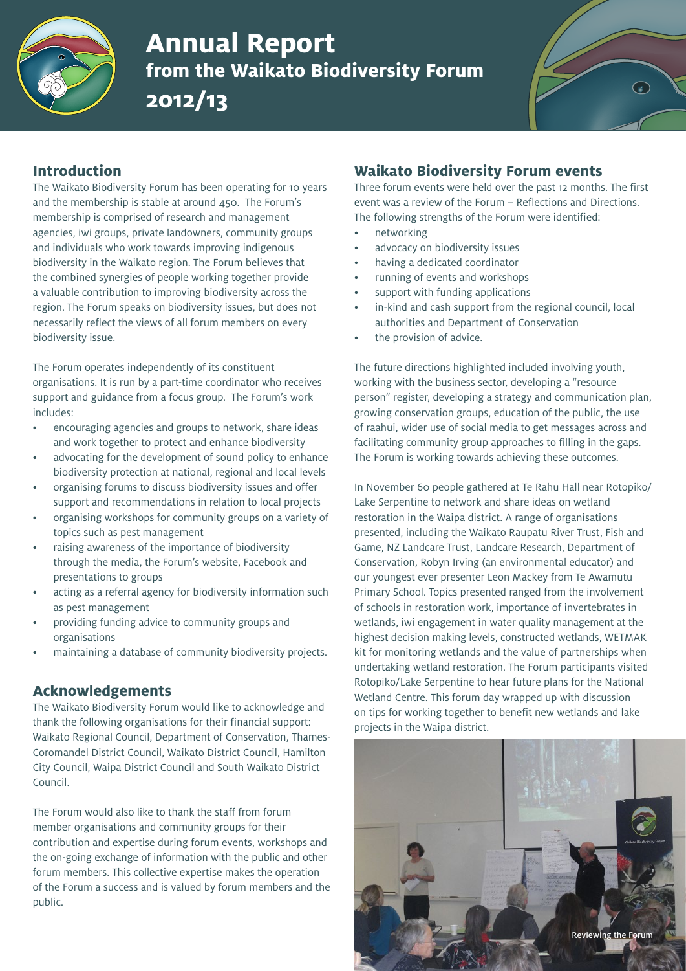

# **Annual Report from the Waikato Biodiversity Forum 2012/13**



# **Introduction**

The Waikato Biodiversity Forum has been operating for 10 years and the membership is stable at around 450. The Forum's membership is comprised of research and management agencies, iwi groups, private landowners, community groups and individuals who work towards improving indigenous biodiversity in the Waikato region. The Forum believes that the combined synergies of people working together provide a valuable contribution to improving biodiversity across the region. The Forum speaks on biodiversity issues, but does not necessarily reflect the views of all forum members on every biodiversity issue.

The Forum operates independently of its constituent organisations. It is run by a part-time coordinator who receives support and guidance from a focus group. The Forum's work includes:

- encouraging agencies and groups to network, share ideas and work together to protect and enhance biodiversity
- advocating for the development of sound policy to enhance biodiversity protection at national, regional and local levels
- organising forums to discuss biodiversity issues and offer support and recommendations in relation to local projects
- organising workshops for community groups on a variety of topics such as pest management
- raising awareness of the importance of biodiversity through the media, the Forum's website, Facebook and presentations to groups
- acting as a referral agency for biodiversity information such as pest management
- providing funding advice to community groups and organisations
- maintaining a database of community biodiversity projects.

#### **Acknowledgements**

The Waikato Biodiversity Forum would like to acknowledge and thank the following organisations for their financial support: Waikato Regional Council, Department of Conservation, Thames-Coromandel District Council, Waikato District Council, Hamilton City Council, Waipa District Council and South Waikato District Council.

The Forum would also like to thank the staff from forum member organisations and community groups for their contribution and expertise during forum events, workshops and the on-going exchange of information with the public and other forum members. This collective expertise makes the operation of the Forum a success and is valued by forum members and the public.

# **Waikato Biodiversity Forum events**

Three forum events were held over the past 12 months. The first event was a review of the Forum – Reflections and Directions. The following strengths of the Forum were identified:

- networking
- advocacy on biodiversity issues
- having a dedicated coordinator
- running of events and workshops
- support with funding applications
- in-kind and cash support from the regional council, local authorities and Department of Conservation
- the provision of advice.

The future directions highlighted included involving youth, working with the business sector, developing a "resource person" register, developing a strategy and communication plan, growing conservation groups, education of the public, the use of raahui, wider use of social media to get messages across and facilitating community group approaches to filling in the gaps. The Forum is working towards achieving these outcomes.

In November 60 people gathered at Te Rahu Hall near Rotopiko/ Lake Serpentine to network and share ideas on wetland restoration in the Waipa district. A range of organisations presented, including the Waikato Raupatu River Trust, Fish and Game, NZ Landcare Trust, Landcare Research, Department of Conservation, Robyn Irving (an environmental educator) and our youngest ever presenter Leon Mackey from Te Awamutu Primary School. Topics presented ranged from the involvement of schools in restoration work, importance of invertebrates in wetlands, iwi engagement in water quality management at the highest decision making levels, constructed wetlands, WETMAK kit for monitoring wetlands and the value of partnerships when undertaking wetland restoration. The Forum participants visited Rotopiko/Lake Serpentine to hear future plans for the National Wetland Centre. This forum day wrapped up with discussion on tips for working together to benefit new wetlands and lake projects in the Waipa district.

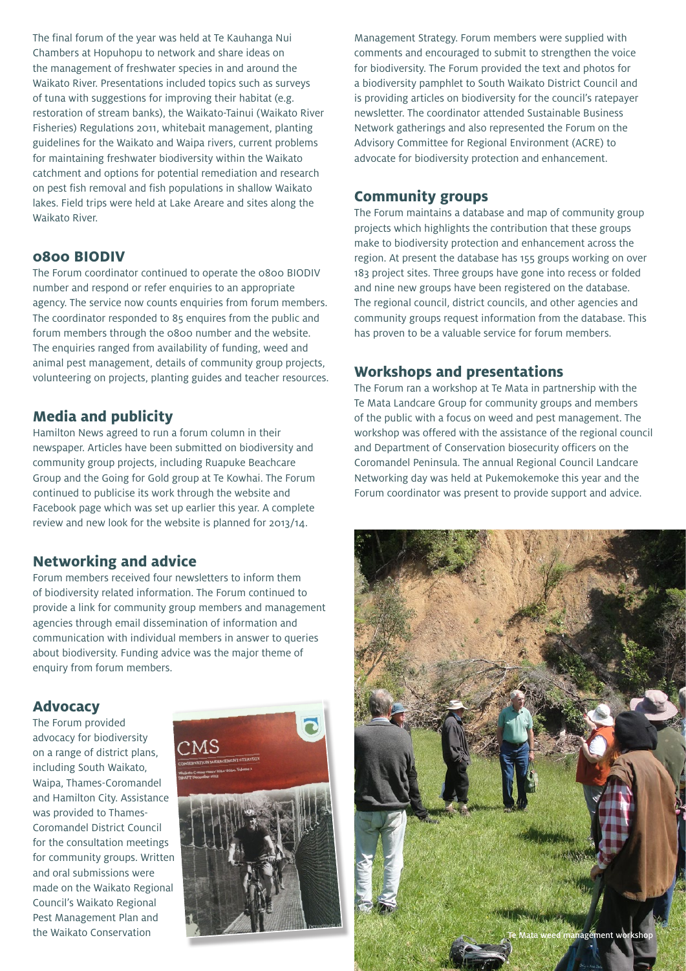The final forum of the year was held at Te Kauhanga Nui Chambers at Hopuhopu to network and share ideas on the management of freshwater species in and around the Waikato River. Presentations included topics such as surveys of tuna with suggestions for improving their habitat (e.g. restoration of stream banks), the Waikato-Tainui (Waikato River Fisheries) Regulations 2011, whitebait management, planting guidelines for the Waikato and Waipa rivers, current problems for maintaining freshwater biodiversity within the Waikato catchment and options for potential remediation and research on pest fish removal and fish populations in shallow Waikato lakes. Field trips were held at Lake Areare and sites along the Waikato River.

#### **0800 BIODIV**

The Forum coordinator continued to operate the 0800 BIODIV number and respond or refer enquiries to an appropriate agency. The service now counts enquiries from forum members. The coordinator responded to 85 enquires from the public and forum members through the 0800 number and the website. The enquiries ranged from availability of funding, weed and animal pest management, details of community group projects, volunteering on projects, planting guides and teacher resources.

#### **Media and publicity**

Hamilton News agreed to run a forum column in their newspaper. Articles have been submitted on biodiversity and community group projects, including Ruapuke Beachcare Group and the Going for Gold group at Te Kowhai. The Forum continued to publicise its work through the website and Facebook page which was set up earlier this year. A complete review and new look for the website is planned for 2013/14.

#### **Networking and advice**

Forum members received four newsletters to inform them of biodiversity related information. The Forum continued to provide a link for community group members and management agencies through email dissemination of information and communication with individual members in answer to queries about biodiversity. Funding advice was the major theme of enquiry from forum members.

## **Advocacy**

The Forum provided advocacy for biodiversity on a range of district plans, including South Waikato, Waipa, Thames-Coromandel and Hamilton City. Assistance was provided to Thames-Coromandel District Council for the consultation meetings for community groups. Written and oral submissions were made on the Waikato Regional Council's Waikato Regional Pest Management Plan and the Waikato Conservation



Management Strategy. Forum members were supplied with comments and encouraged to submit to strengthen the voice for biodiversity. The Forum provided the text and photos for a biodiversity pamphlet to South Waikato District Council and is providing articles on biodiversity for the council's ratepayer newsletter. The coordinator attended Sustainable Business Network gatherings and also represented the Forum on the Advisory Committee for Regional Environment (ACRE) to advocate for biodiversity protection and enhancement.

### **Community groups**

The Forum maintains a database and map of community group projects which highlights the contribution that these groups make to biodiversity protection and enhancement across the region. At present the database has 155 groups working on over 183 project sites. Three groups have gone into recess or folded and nine new groups have been registered on the database. The regional council, district councils, and other agencies and community groups request information from the database. This has proven to be a valuable service for forum members.

#### **Workshops and presentations**

The Forum ran a workshop at Te Mata in partnership with the Te Mata Landcare Group for community groups and members of the public with a focus on weed and pest management. The workshop was offered with the assistance of the regional council and Department of Conservation biosecurity officers on the Coromandel Peninsula. The annual Regional Council Landcare Networking day was held at Pukemokemoke this year and the Forum coordinator was present to provide support and advice.

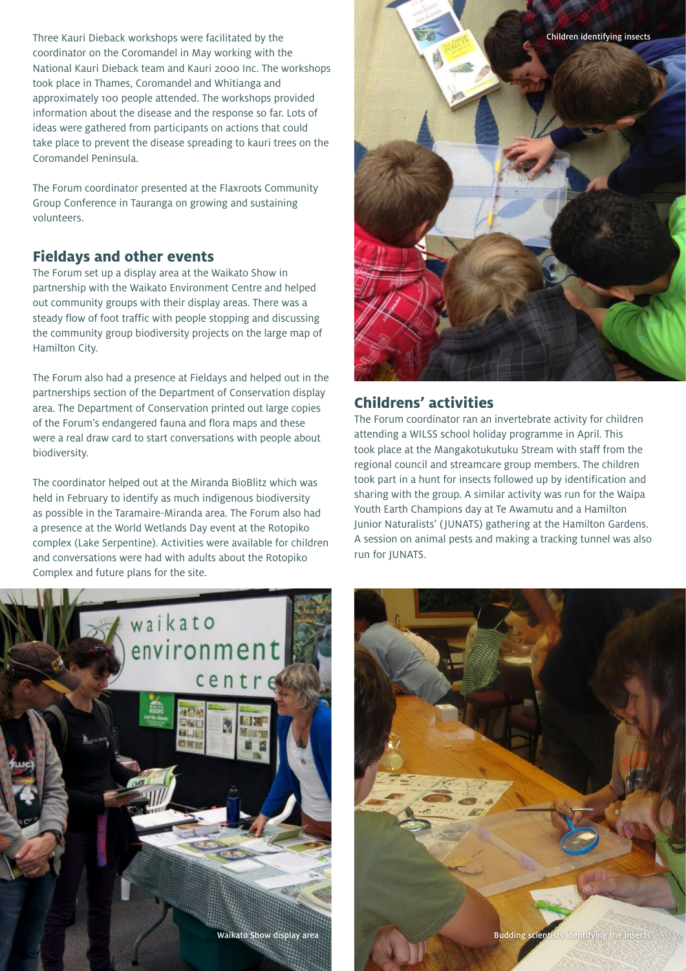Three Kauri Dieback workshops were facilitated by the coordinator on the Coromandel in May working with the National Kauri Dieback team and Kauri 2000 Inc. The workshops took place in Thames, Coromandel and Whitianga and approximately 100 people attended. The workshops provided information about the disease and the response so far. Lots of ideas were gathered from participants on actions that could take place to prevent the disease spreading to kauri trees on the Coromandel Peninsula.

The Forum coordinator presented at the Flaxroots Community Group Conference in Tauranga on growing and sustaining volunteers.

# **Fieldays and other events**

The Forum set up a display area at the Waikato Show in partnership with the Waikato Environment Centre and helped out community groups with their display areas. There was a steady flow of foot traffic with people stopping and discussing the community group biodiversity projects on the large map of Hamilton City.

The Forum also had a presence at Fieldays and helped out in the partnerships section of the Department of Conservation display area. The Department of Conservation printed out large copies of the Forum's endangered fauna and flora maps and these were a real draw card to start conversations with people about biodiversity.

The coordinator helped out at the Miranda BioBlitz which was held in February to identify as much indigenous biodiversity as possible in the Taramaire-Miranda area. The Forum also had a presence at the World Wetlands Day event at the Rotopiko complex (Lake Serpentine). Activities were available for children and conversations were had with adults about the Rotopiko Complex and future plans for the site.



# **Childrens' activities**

The Forum coordinator ran an invertebrate activity for children attending a WILSS school holiday programme in April. This took place at the Mangakotukutuku Stream with staff from the regional council and streamcare group members. The children took part in a hunt for insects followed up by identification and sharing with the group. A similar activity was run for the Waipa Youth Earth Champions day at Te Awamutu and a Hamilton Junior Naturalists' ( JUNATS) gathering at the Hamilton Gardens. A session on animal pests and making a tracking tunnel was also run for JUNATS.